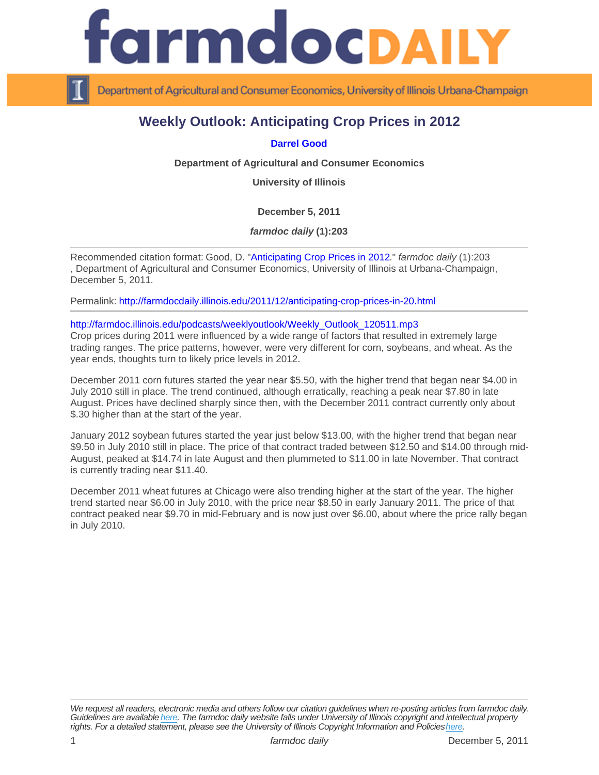## Weekly Outlook: Anticipating Crop Prices in 2012

## [Darrel Good](http://www.farmdoc.illinois.edu/good/)

Department of Agricultural and Consumer Economics

University of Illinois

December 5, 2011

farmdoc daily (1):203

Recommended citation format: Good, D. "[Anticipating Crop Prices in 2012](http://farmdocdaily.illinois.edu/2011/12/anticipating-crop-prices-in-20.html)." farmdoc daily (1):203 , Department of Agricultural and Consumer Economics, University of Illinois at Urbana-Champaign, December 5, 2011.

Permalink:<http://farmdocdaily.illinois.edu/2011/12/anticipating-crop-prices-in-20.html>

## [http://farmdoc.illinois.edu/podcasts/weeklyoutlook/Weekly\\_Outlook\\_120511.mp3](http://farmdoc.illinois.edu/podcasts/weeklyoutlook/Weekly_Outlook_120511.mp3)

Crop prices during 2011 were influenced by a wide range of factors that resulted in extremely large trading ranges. The price patterns, however, were very different for corn, soybeans, and wheat. As the year ends, thoughts turn to likely price levels in 2012.

December 2011 corn futures started the year near \$5.50, with the higher trend that began near \$4.00 in July 2010 still in place. The trend continued, although erratically, reaching a peak near \$7.80 in late August. Prices have declined sharply since then, with the December 2011 contract currently only about \$.30 higher than at the start of the year.

January 2012 soybean futures started the year just below \$13.00, with the higher trend that began near \$9.50 in July 2010 still in place. The price of that contract traded between \$12.50 and \$14.00 through mid-August, peaked at \$14.74 in late August and then plummeted to \$11.00 in late November. That contract is currently trading near \$11.40.

December 2011 wheat futures at Chicago were also trending higher at the start of the year. The higher trend started near \$6.00 in July 2010, with the price near \$8.50 in early January 2011. The price of that contract peaked near \$9.70 in mid-February and is now just over \$6.00, about where the price rally began in July 2010.

We request all readers, electronic media and others follow our citation guidelines when re-posting articles from farmdoc daily. Guidelines are available [here](http://farmdocdaily.illinois.edu/citationguide.html). The farmdoc daily website falls under University of Illinois copyright and intellectual property rights. For a detailed statement, please see the University of Illinois Copyright Information and Policies [here.](https://techservices.illinois.edu/office-cio)